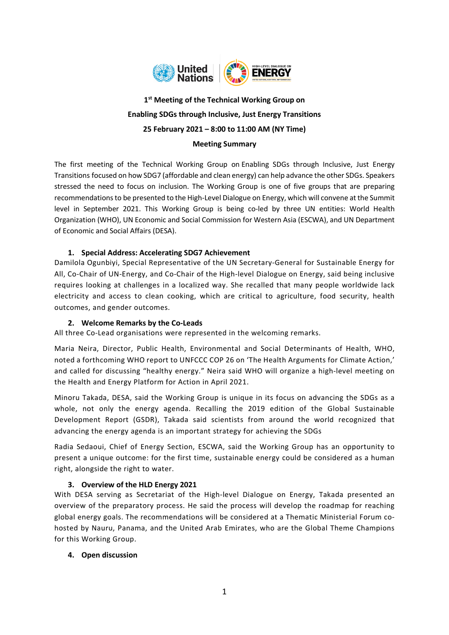

# **1 st Meeting of the Technical Working Group on Enabling SDGs through Inclusive, Just Energy Transitions 25 February 2021 – 8:00 to 11:00 AM (NY Time) Meeting Summary**

The first meeting of the Technical Working Group on Enabling SDGs through Inclusive, Just Energy Transitions focused on how SDG7 (affordable and clean energy) can help advance the other SDGs. Speakers stressed the need to focus on inclusion. The Working Group is one of five groups that are preparing recommendations to be presented to the High-Level Dialogue on Energy, which will convene at the Summit level in September 2021. This Working Group is being co-led by three UN entities: World Health Organization (WHO), UN Economic and Social Commission for Western Asia (ESCWA), and UN Department of Economic and Social Affairs (DESA).

# **1. Special Address: Accelerating SDG7 Achievement**

Damilola Ogunbiyi, Special Representative of the UN Secretary-General for Sustainable Energy for All, Co-Chair of UN-Energy, and Co-Chair of the High-level Dialogue on Energy, said being inclusive requires looking at challenges in a localized way. She recalled that many people worldwide lack electricity and access to clean cooking, which are critical to agriculture, food security, health outcomes, and gender outcomes.

### **2. Welcome Remarks by the Co-Leads**

All three Co-Lead organisations were represented in the welcoming remarks.

Maria Neira, Director, Public Health, Environmental and Social Determinants of Health, WHO, noted a forthcoming WHO report to UNFCCC COP 26 on 'The Health Arguments for Climate Action,' and called for discussing "healthy energy." Neira said WHO will organize a high-level meeting on the Health and Energy Platform for Action in April 2021.

Minoru Takada, DESA, said the Working Group is unique in its focus on advancing the SDGs as a whole, not only the energy agenda. Recalling the 2019 edition of the Global Sustainable Development Report (GSDR), Takada said scientists from around the world recognized that advancing the energy agenda is an important strategy for achieving the SDGs

Radia Sedaoui, Chief of Energy Section, ESCWA, said the Working Group has an opportunity to present a unique outcome: for the first time, sustainable energy could be considered as a human right, alongside the right to water.

### **3. Overview of the HLD Energy 2021**

With DESA serving as Secretariat of the High-level Dialogue on Energy, Takada presented an overview of the preparatory process. He said the process will develop the roadmap for reaching global energy goals. The recommendations will be considered at a Thematic Ministerial Forum cohosted by Nauru, Panama, and the United Arab Emirates, who are the Global Theme Champions for this Working Group.

### **4. Open discussion**